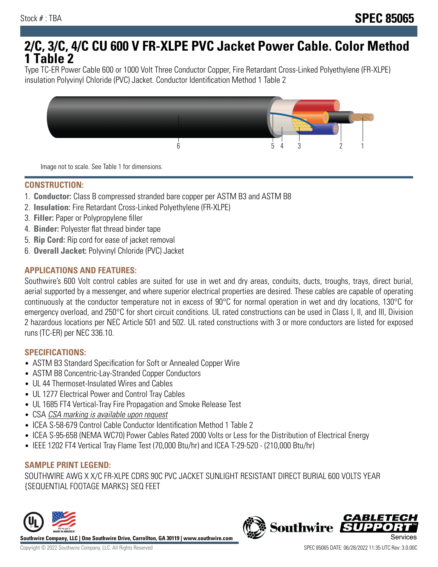# **2/C, 3/C, 4/C CU 600 V FR-XLPE PVC Jacket Power Cable. Color Method 1 Table 2**

Type TC-ER Power Cable 600 or 1000 Volt Three Conductor Copper, Fire Retardant Cross-Linked Polyethylene (FR-XLPE) insulation Polyvinyl Chloride (PVC) Jacket. Conductor Identification Method 1 Table 2



Image not to scale. See Table 1 for dimensions.

#### **CONSTRUCTION:**

- 1. **Conductor:** Class B compressed stranded bare copper per ASTM B3 and ASTM B8
- 2. **Insulation:** Fire Retardant Cross-Linked Polyethylene (FR-XLPE)
- 3. **Filler:** Paper or Polypropylene filler
- 4. **Binder:** Polyester flat thread binder tape
- 5. **Rip Cord:** Rip cord for ease of jacket removal
- 6. **Overall Jacket:** Polyvinyl Chloride (PVC) Jacket

## **APPLICATIONS AND FEATURES:**

Southwire's 600 Volt control cables are suited for use in wet and dry areas, conduits, ducts, troughs, trays, direct burial, aerial supported by a messenger, and where superior electrical properties are desired. These cables are capable of operating continuously at the conductor temperature not in excess of 90°C for normal operation in wet and dry locations, 130°C for emergency overload, and 250°C for short circuit conditions. UL rated constructions can be used in Class I, II, and III, Division 2 hazardous locations per NEC Article 501 and 502. UL rated constructions with 3 or more conductors are listed for exposed runs (TC-ER) per NEC 336.10.

#### **SPECIFICATIONS:**

- ASTM B3 Standard Specification for Soft or Annealed Copper Wire
- ASTM B8 Concentric-Lay-Stranded Copper Conductors
- UL 44 Thermoset-Insulated Wires and Cables
- UL 1277 Electrical Power and Control Tray Cables
- UL 1685 FT4 Vertical-Tray Fire Propagation and Smoke Release Test
- CSA CSA marking is available upon request
- ICEA S-58-679 Control Cable Conductor Identification Method 1 Table 2
- ICEA S-95-658 (NEMA WC70) Power Cables Rated 2000 Volts or Less for the Distribution of Electrical Energy
- IEEE 1202 FT4 Vertical Tray Flame Test (70,000 Btu/hr) and ICEA T-29-520 (210,000 Btu/hr)

#### **SAMPLE PRINT LEGEND:**

SOUTHWIRE AWG X X/C FR-XLPE CDRS 90C PVC JACKET SUNLIGHT RESISTANT DIRECT BURIAL 600 VOLTS YEAR {SEQUENTIAL FOOTAGE MARKS} SEQ FEET